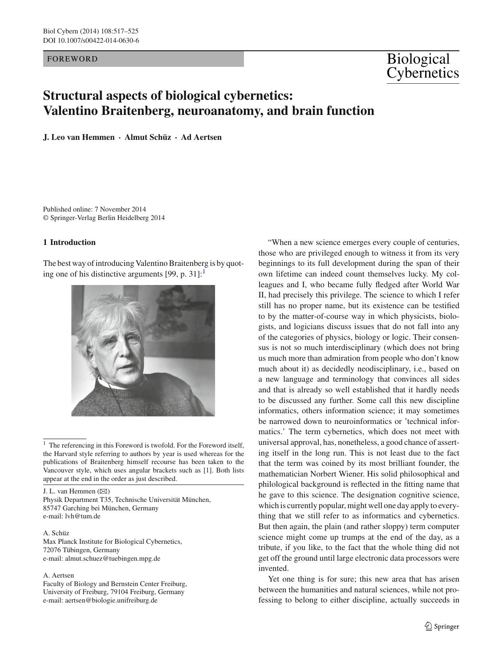FOREWORD

# **Structural aspects of biological cybernetics: Valentino Braitenberg, neuroanatomy, and brain function**

**J. Leo van Hemmen** · **Almut Schüz** · **Ad Aertsen**

Published online: 7 November 2014 © Springer-Verlag Berlin Heidelberg 2014

## **1 Introduction**

The best way of introducing Valentino Braitenberg is by quoting one of his distinctive arguments [99, p. 31]: $<sup>1</sup>$ </sup>



<sup>1</sup> The referencing in this Foreword is twofold. For the Foreword itself, the Harvard style referring to authors by year is used whereas for the publications of Braitenberg himself recourse has been taken to the Vancouver style, which uses angular brackets such as [1]. Both lists appear at the end in the order as just described.

J. L. van Hemmen  $(\boxtimes)$ Physik Department T35, Technische Universität München, 85747 Garching bei München, Germany e-mail: lvh@tum.de

A. Schüz Max Planck Institute for Biological Cybernetics, 72076 Tübingen, Germany e-mail: almut.schuez@tuebingen.mpg.de

#### A. Aertsen

Faculty of Biology and Bernstein Center Freiburg, University of Freiburg, 79104 Freiburg, Germany e-mail: aertsen@biologie.unifreiburg.de

"When a new science emerges every couple of centuries, those who are privileged enough to witness it from its very beginnings to its full development during the span of their own lifetime can indeed count themselves lucky. My colleagues and I, who became fully fledged after World War II, had precisely this privilege. The science to which I refer still has no proper name, but its existence can be testified to by the matter-of-course way in which physicists, biologists, and logicians discuss issues that do not fall into any of the categories of physics, biology or logic. Their consensus is not so much interdisciplinary (which does not bring us much more than admiration from people who don't know much about it) as decidedly neodisciplinary, i.e., based on a new language and terminology that convinces all sides and that is already so well established that it hardly needs to be discussed any further. Some call this new discipline informatics, others information science; it may sometimes be narrowed down to neuroinformatics or 'technical informatics.' The term cybernetics, which does not meet with universal approval, has, nonetheless, a good chance of asserting itself in the long run. This is not least due to the fact that the term was coined by its most brilliant founder, the mathematician Norbert Wiener. His solid philosophical and philological background is reflected in the fitting name that he gave to this science. The designation cognitive science, which is currently popular, might well one day apply to everything that we still refer to as informatics and cybernetics. But then again, the plain (and rather sloppy) term computer science might come up trumps at the end of the day, as a tribute, if you like, to the fact that the whole thing did not get off the ground until large electronic data processors were invented.

Yet one thing is for sure; this new area that has arisen between the humanities and natural sciences, while not professing to belong to either discipline, actually succeeds in

# Biological Cybernetics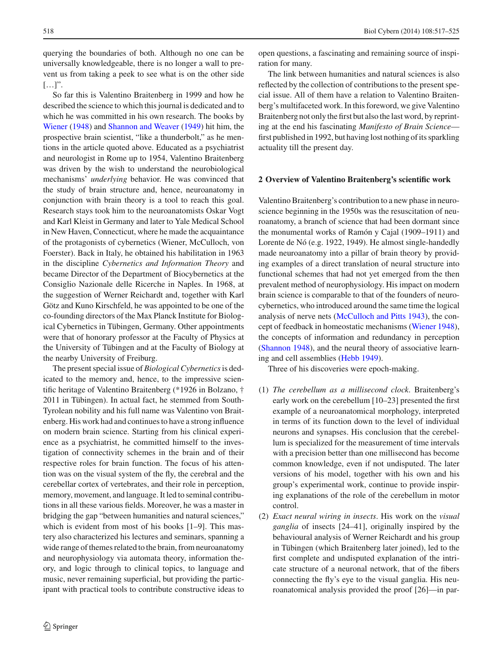querying the boundaries of both. Although no one can be universally knowledgeable, there is no longer a wall to prevent us from taking a peek to see what is on the other side […]".

So far this is Valentino Braitenberg in 1999 and how he described the science to which this journal is dedicated and to which he was committed in his own research. The books by [Wiener](#page-5-0) [\(1948\)](#page-5-0) and [Shannon and Weaver](#page-5-1) [\(1949\)](#page-5-1) hit him, the prospective brain scientist, "like a thunderbolt," as he mentions in the article quoted above. Educated as a psychiatrist and neurologist in Rome up to 1954, Valentino Braitenberg was driven by the wish to understand the neurobiological mechanisms' *underlying* behavior. He was convinced that the study of brain structure and, hence, neuroanatomy in conjunction with brain theory is a tool to reach this goal. Research stays took him to the neuroanatomists Oskar Vogt and Karl Kleist in Germany and later to Yale Medical School in New Haven, Connecticut, where he made the acquaintance of the protagonists of cybernetics (Wiener, McCulloch, von Foerster). Back in Italy, he obtained his habilitation in 1963 in the discipline *Cybernetics and Information Theory* and became Director of the Department of Biocybernetics at the Consiglio Nazionale delle Ricerche in Naples. In 1968, at the suggestion of Werner Reichardt and, together with Karl Götz and Kuno Kirschfeld, he was appointed to be one of the co-founding directors of the Max Planck Institute for Biological Cybernetics in Tübingen, Germany. Other appointments were that of honorary professor at the Faculty of Physics at the University of Tübingen and at the Faculty of Biology at the nearby University of Freiburg.

The present special issue of *Biological Cybernetics*is dedicated to the memory and, hence, to the impressive scientific heritage of Valentino Braitenberg (\*1926 in Bolzano, † 2011 in Tübingen). In actual fact, he stemmed from South-Tyrolean nobility and his full name was Valentino von Braitenberg. His work had and continues to have a strong influence on modern brain science. Starting from his clinical experience as a psychiatrist, he committed himself to the investigation of connectivity schemes in the brain and of their respective roles for brain function. The focus of his attention was on the visual system of the fly, the cerebral and the cerebellar cortex of vertebrates, and their role in perception, memory, movement, and language. It led to seminal contributions in all these various fields. Moreover, he was a master in bridging the gap "between humanities and natural sciences," which is evident from most of his books [1–9]. This mastery also characterized his lectures and seminars, spanning a wide range of themes related to the brain, from neuroanatomy and neurophysiology via automata theory, information theory, and logic through to clinical topics, to language and music, never remaining superficial, but providing the participant with practical tools to contribute constructive ideas to

open questions, a fascinating and remaining source of inspiration for many.

The link between humanities and natural sciences is also reflected by the collection of contributions to the present special issue. All of them have a relation to Valentino Braitenberg's multifaceted work. In this foreword, we give Valentino Braitenberg not only the first but also the last word, by reprinting at the end his fascinating *Manifesto of Brain Science* first published in 1992, but having lost nothing of its sparkling actuality till the present day.

#### **2 Overview of Valentino Braitenberg's scientific work**

Valentino Braitenberg's contribution to a new phase in neuroscience beginning in the 1950s was the resuscitation of neuroanatomy, a branch of science that had been dormant since the monumental works of Ramón y Cajal (1909–1911) and Lorente de Nó (e.g. 1922, 1949). He almost single-handedly made neuroanatomy into a pillar of brain theory by providing examples of a direct translation of neural structure into functional schemes that had not yet emerged from the then prevalent method of neurophysiology. His impact on modern brain science is comparable to that of the founders of neurocybernetics, who introduced around the same time the logical analysis of nerve nets [\(McCulloch and Pitts 1943](#page-5-2)), the concept of feedback in homeostatic mechanisms [\(Wiener 1948](#page-5-0)), the concepts of information and redundancy in perception [\(Shannon 1948](#page-5-3)), and the neural theory of associative learning and cell assemblies [\(Hebb 1949](#page-5-4)).

Three of his discoveries were epoch-making.

- (1) *The cerebellum as a millisecond clock*. Braitenberg's early work on the cerebellum [10–23] presented the first example of a neuroanatomical morphology, interpreted in terms of its function down to the level of individual neurons and synapses. His conclusion that the cerebellum is specialized for the measurement of time intervals with a precision better than one millisecond has become common knowledge, even if not undisputed. The later versions of his model, together with his own and his group's experimental work, continue to provide inspiring explanations of the role of the cerebellum in motor control.
- (2) *Exact neural wiring in insects*. His work on the *visual ganglia* of insects [24–41], originally inspired by the behavioural analysis of Werner Reichardt and his group in Tübingen (which Braitenberg later joined), led to the first complete and undisputed explanation of the intricate structure of a neuronal network, that of the fibers connecting the fly's eye to the visual ganglia. His neuroanatomical analysis provided the proof [26]—in par-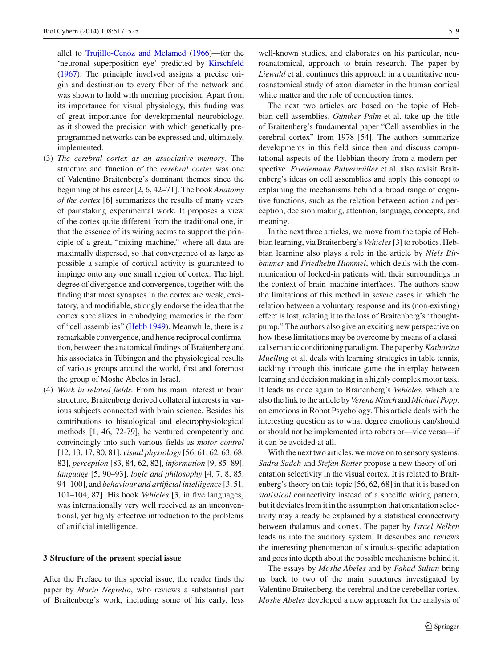allel to [Trujillo-Cenóz and Melamed](#page-5-5) [\(1966\)](#page-5-5)—for the 'neuronal superposition eye' predicted by [Kirschfeld](#page-5-6) [\(1967](#page-5-6)). The principle involved assigns a precise origin and destination to every fiber of the network and was shown to hold with unerring precision. Apart from its importance for visual physiology, this finding was of great importance for developmental neurobiology, as it showed the precision with which genetically preprogrammed networks can be expressed and, ultimately, implemented.

- (3) *The cerebral cortex as an associative memory*. The structure and function of the *cerebral cortex* was one of Valentino Braitenberg's dominant themes since the beginning of his career [2, 6, 42–71]. The book *Anatomy of the cortex* [6] summarizes the results of many years of painstaking experimental work. It proposes a view of the cortex quite different from the traditional one, in that the essence of its wiring seems to support the principle of a great, "mixing machine," where all data are maximally dispersed, so that convergence of as large as possible a sample of cortical activity is guaranteed to impinge onto any one small region of cortex. The high degree of divergence and convergence, together with the finding that most synapses in the cortex are weak, excitatory, and modifiable, strongly endorse the idea that the cortex specializes in embodying memories in the form of "cell assemblies" [\(Hebb 1949](#page-5-4)). Meanwhile, there is a remarkable convergence, and hence reciprocal confirmation, between the anatomical findings of Braitenberg and his associates in Tübingen and the physiological results of various groups around the world, first and foremost the group of Moshe Abeles in Israel.
- (4) *Work in related fields.* From his main interest in brain structure, Braitenberg derived collateral interests in various subjects connected with brain science. Besides his contributions to histological and electrophysiological methods [1, 46, 72-79], he ventured competently and convincingly into such various fields as *motor control* [12, 13, 17, 80, 81], *visual physiology* [56, 61, 62, 63, 68, 82], *perception* [83, 84, 62, 82], *information* [9, 85–89], *language* [5, 90–93], *logic and philosophy* [4, 7, 8, 85, 94–100], and *behaviour and artificial intelligence* [3, 51, 101–104, 87]. His book *Vehicles* [3, in five languages] was internationally very well received as an unconventional, yet highly effective introduction to the problems of artificial intelligence.

#### **3 Structure of the present special issue**

After the Preface to this special issue, the reader finds the paper by *Mario Negrello*, who reviews a substantial part of Braitenberg's work, including some of his early, less

well-known studies, and elaborates on his particular, neuroanatomical, approach to brain research. The paper by *Liewald* et al. continues this approach in a quantitative neuroanatomical study of axon diameter in the human cortical white matter and the role of conduction times.

The next two articles are based on the topic of Hebbian cell assemblies. *Günther Palm* et al. take up the title of Braitenberg's fundamental paper "Cell assemblies in the cerebral cortex" from 1978 [54]. The authors summarize developments in this field since then and discuss computational aspects of the Hebbian theory from a modern perspective. *Friedemann Pulvermüller* et al. also revisit Braitenberg's ideas on cell assemblies and apply this concept to explaining the mechanisms behind a broad range of cognitive functions, such as the relation between action and perception, decision making, attention, language, concepts, and meaning.

In the next three articles, we move from the topic of Hebbian learning, via Braitenberg's *Vehicles*[3] to robotics. Hebbian learning also plays a role in the article by *Niels Birbaumer* and *Friedhelm Hummel*, which deals with the communication of locked-in patients with their surroundings in the context of brain–machine interfaces. The authors show the limitations of this method in severe cases in which the relation between a voluntary response and its (non-existing) effect is lost, relating it to the loss of Braitenberg's "thoughtpump." The authors also give an exciting new perspective on how these limitations may be overcome by means of a classical semantic conditioning paradigm. The paper by *Katharina Muelling* et al. deals with learning strategies in table tennis, tackling through this intricate game the interplay between learning and decision making in a highly complex motor task. It leads us once again to Braitenberg's *Vehicles,* which are also the link to the article by *Verena Nitsch* and *Michael Popp*, on emotions in Robot Psychology. This article deals with the interesting question as to what degree emotions can/should or should not be implemented into robots or—vice versa—if it can be avoided at all.

With the next two articles, we move on to sensory systems. *Sadra Sadeh* and *Stefan Rotter* propose a new theory of orientation selectivity in the visual cortex. It is related to Braitenberg's theory on this topic [56, 62, 68] in that it is based on *statistical* connectivity instead of a specific wiring pattern, but it deviates from it in the assumption that orientation selectivity may already be explained by a statistical connectivity between thalamus and cortex. The paper by *Israel Nelken* leads us into the auditory system. It describes and reviews the interesting phenomenon of stimulus-specific adaptation and goes into depth about the possible mechanisms behind it.

The essays by *Moshe Abeles* and by *Fahad Sultan* bring us back to two of the main structures investigated by Valentino Braitenberg, the cerebral and the cerebellar cortex. *Moshe Abeles* developed a new approach for the analysis of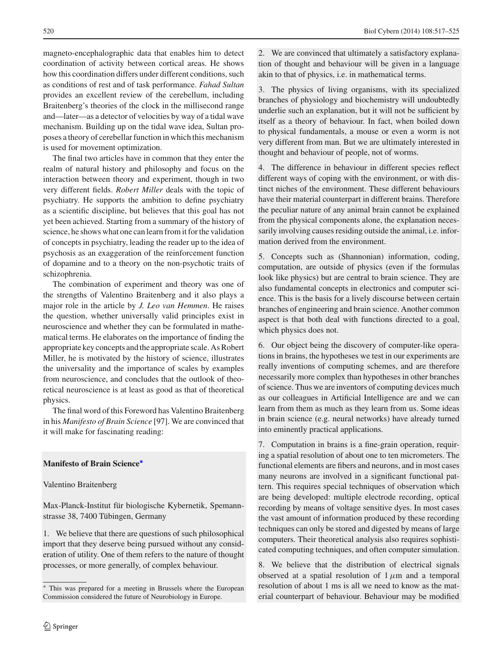magneto-encephalographic data that enables him to detect coordination of activity between cortical areas. He shows how this coordination differs under different conditions, such as conditions of rest and of task performance. *Fahad Sultan* provides an excellent review of the cerebellum, including Braitenberg's theories of the clock in the millisecond range and—later—as a detector of velocities by way of a tidal wave mechanism. Building up on the tidal wave idea, Sultan proposes a theory of cerebellar function in which this mechanism is used for movement optimization.

The final two articles have in common that they enter the realm of natural history and philosophy and focus on the interaction between theory and experiment, though in two very different fields. *Robert Miller* deals with the topic of psychiatry. He supports the ambition to define psychiatry as a scientific discipline, but believes that this goal has not yet been achieved. Starting from a summary of the history of science, he shows what one can learn from it for the validation of concepts in psychiatry, leading the reader up to the idea of psychosis as an exaggeration of the reinforcement function of dopamine and to a theory on the non-psychotic traits of schizophrenia.

The combination of experiment and theory was one of the strengths of Valentino Braitenberg and it also plays a major role in the article by *J. Leo van Hemmen*. He raises the question, whether universally valid principles exist in neuroscience and whether they can be formulated in mathematical terms. He elaborates on the importance of finding the appropriate key concepts and the appropriate scale. As Robert Miller, he is motivated by the history of science, illustrates the universality and the importance of scales by examples from neuroscience, and concludes that the outlook of theoretical neuroscience is at least as good as that of theoretical physics.

The final word of this Foreword has Valentino Braitenberg in his *Manifesto of Brain Science* [97]. We are convinced that it will make for fascinating reading:

## **Manifesto of Brain Science**[∗](#page-3-0)

Valentino Braitenberg

Max-Planck-Institut für biologische Kybernetik, Spemannstrasse 38, 7400 Tübingen, Germany

1. We believe that there are questions of such philosophical import that they deserve being pursued without any consideration of utility. One of them refers to the nature of thought processes, or more generally, of complex behaviour.

2. We are convinced that ultimately a satisfactory explanation of thought and behaviour will be given in a language akin to that of physics, i.e. in mathematical terms.

3. The physics of living organisms, with its specialized branches of physiology and biochemistry will undoubtedly underlie such an explanation, but it will not be sufficient by itself as a theory of behaviour. In fact, when boiled down to physical fundamentals, a mouse or even a worm is not very different from man. But we are ultimately interested in thought and behaviour of people, not of worms.

4. The difference in behaviour in different species reflect different ways of coping with the environment, or with distinct niches of the environment. These different behaviours have their material counterpart in different brains. Therefore the peculiar nature of any animal brain cannot be explained from the physical components alone, the explanation necessarily involving causes residing outside the animal, i.e. information derived from the environment.

5. Concepts such as (Shannonian) information, coding, computation, are outside of physics (even if the formulas look like physics) but are central to brain science. They are also fundamental concepts in electronics and computer science. This is the basis for a lively discourse between certain branches of engineering and brain science. Another common aspect is that both deal with functions directed to a goal, which physics does not.

6. Our object being the discovery of computer-like operations in brains, the hypotheses we test in our experiments are really inventions of computing schemes, and are therefore necessarily more complex than hypotheses in other branches of science. Thus we are inventors of computing devices much as our colleagues in Artificial Intelligence are and we can learn from them as much as they learn from us. Some ideas in brain science (e.g. neural networks) have already turned into eminently practical applications.

7. Computation in brains is a fine-grain operation, requiring a spatial resolution of about one to ten micrometers. The functional elements are fibers and neurons, and in most cases many neurons are involved in a significant functional pattern. This requires special techniques of observation which are being developed: multiple electrode recording, optical recording by means of voltage sensitive dyes. In most cases the vast amount of information produced by these recording techniques can only be stored and digested by means of large computers. Their theoretical analysis also requires sophisticated computing techniques, and often computer simulation.

8. We believe that the distribution of electrical signals observed at a spatial resolution of  $1 \mu m$  and a temporal resolution of about 1 ms is all we need to know as the material counterpart of behaviour. Behaviour may be modified

<span id="page-3-0"></span>This was prepared for a meeting in Brussels where the European Commission considered the future of Neurobiology in Europe.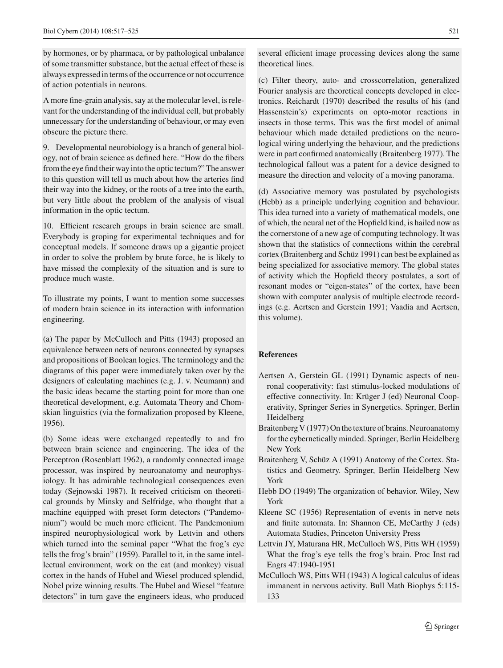by hormones, or by pharmaca, or by pathological unbalance of some transmitter substance, but the actual effect of these is always expressed in terms of the occurrence or not occurrence of action potentials in neurons.

A more fine-grain analysis, say at the molecular level, is relevant for the understanding of the individual cell, but probably unnecessary for the understanding of behaviour, or may even obscure the picture there.

9. Developmental neurobiology is a branch of general biology, not of brain science as defined here. "How do the fibers from the eye find their way into the optic tectum?" The answer to this question will tell us much about how the arteries find their way into the kidney, or the roots of a tree into the earth, but very little about the problem of the analysis of visual information in the optic tectum.

10. Efficient research groups in brain science are small. Everybody is groping for experimental techniques and for conceptual models. If someone draws up a gigantic project in order to solve the problem by brute force, he is likely to have missed the complexity of the situation and is sure to produce much waste.

To illustrate my points, I want to mention some successes of modern brain science in its interaction with information engineering.

(a) The paper by McCulloch and Pitts (1943) proposed an equivalence between nets of neurons connected by synapses and propositions of Boolean logics. The terminology and the diagrams of this paper were immediately taken over by the designers of calculating machines (e.g. J. v. Neumann) and the basic ideas became the starting point for more than one theoretical development, e.g. Automata Theory and Chomskian linguistics (via the formalization proposed by Kleene, 1956).

(b) Some ideas were exchanged repeatedly to and fro between brain science and engineering. The idea of the Perceptron (Rosenblatt 1962), a randomly connected image processor, was inspired by neuroanatomy and neurophysiology. It has admirable technological consequences even today (Sejnowski 1987). It received criticism on theoretical grounds by Minsky and Selfridge, who thought that a machine equipped with preset form detectors ("Pandemonium") would be much more efficient. The Pandemonium inspired neurophysiological work by Lettvin and others which turned into the seminal paper "What the frog's eye tells the frog's brain" (1959). Parallel to it, in the same intellectual environment, work on the cat (and monkey) visual cortex in the hands of Hubel and Wiesel produced splendid, Nobel prize winning results. The Hubel and Wiesel "feature detectors" in turn gave the engineers ideas, who produced several efficient image processing devices along the same theoretical lines.

(c) Filter theory, auto- and crosscorrelation, generalized Fourier analysis are theoretical concepts developed in electronics. Reichardt (1970) described the results of his (and Hassenstein's) experiments on opto-motor reactions in insects in those terms. This was the first model of animal behaviour which made detailed predictions on the neurological wiring underlying the behaviour, and the predictions were in part confirmed anatomically (Braitenberg 1977). The technological fallout was a patent for a device designed to measure the direction and velocity of a moving panorama.

(d) Associative memory was postulated by psychologists (Hebb) as a principle underlying cognition and behaviour. This idea turned into a variety of mathematical models, one of which, the neural net of the Hopfield kind, is hailed now as the cornerstone of a new age of computing technology. It was shown that the statistics of connections within the cerebral cortex (Braitenberg and Schüz 1991) can best be explained as being specialized for associative memory. The global states of activity which the Hopfield theory postulates, a sort of resonant modes or "eigen-states" of the cortex, have been shown with computer analysis of multiple electrode recordings (e.g. Aertsen and Gerstein 1991; Vaadia and Aertsen, this volume).

## **References**

- Aertsen A, Gerstein GL (1991) Dynamic aspects of neuronal cooperativity: fast stimulus-locked modulations of effective connectivity. In: Krüger J (ed) Neuronal Cooperativity, Springer Series in Synergetics. Springer, Berlin Heidelberg
- Braitenberg V (1977) On the texture of brains. Neuroanatomy for the cybernetically minded. Springer, Berlin Heidelberg New York
- Braitenberg V, Schüz A (1991) Anatomy of the Cortex. Statistics and Geometry. Springer, Berlin Heidelberg New York
- Hebb DO (1949) The organization of behavior. Wiley, New York
- Kleene SC (1956) Representation of events in nerve nets and finite automata. In: Shannon CE, McCarthy J (eds) Automata Studies, Princeton University Press
- Lettvin JY, Maturana HR, McCulloch WS, Pitts WH (1959) What the frog's eye tells the frog's brain. Proc Inst rad Engrs 47:1940-1951
- McCulloch WS, Pitts WH (1943) A logical calculus of ideas immanent in nervous activity. Bull Math Biophys 5:115- 133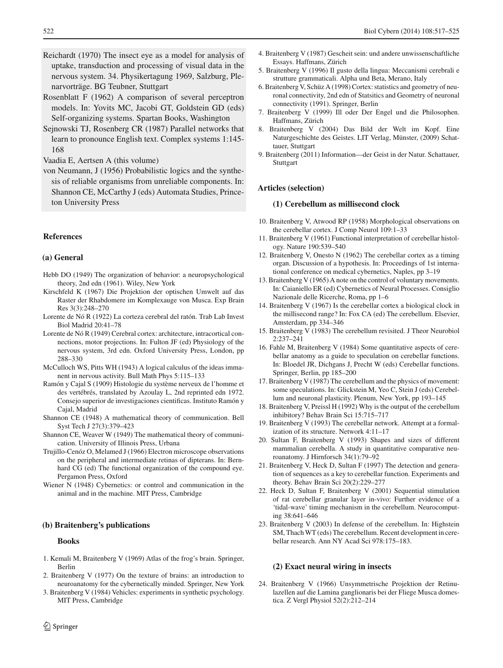- Reichardt (1970) The insect eye as a model for analysis of uptake, transduction and processing of visual data in the nervous system. 34. Physikertagung 1969, Salzburg, Plenarvorträge. BG Teubner, Stuttgart
- Rosenblatt F (1962) A comparison of several perceptron models. In: Yovits MC, Jacobi GT, Goldstein GD (eds) Self-organizing systems. Spartan Books, Washington
- Sejnowski TJ, Rosenberg CR (1987) Parallel networks that learn to pronounce English text. Complex systems 1:145- 168

Vaadia E, Aertsen A (this volume)

von Neumann, J (1956) Probabilistic logics and the synthesis of reliable organisms from unreliable components. In: Shannon CE, McCarthy J (eds) Automata Studies, Princeton University Press

### **References**

#### **(a) General**

- <span id="page-5-4"></span>Hebb DO (1949) The organization of behavior: a neuropsychological theory, 2nd edn (1961). Wiley, New York
- <span id="page-5-6"></span>Kirschfeld K (1967) Die Projektion der optischen Umwelt auf das Raster der Rhabdomere im Komplexauge von Musca. Exp Brain Res 3(3):248–270
- Lorente de Nó R (1922) La corteza cerebral del ratón. Trab Lab Invest Biol Madrid 20:41–78
- Lorente de Nó R (1949) Cerebral cortex: architecture, intracortical connections, motor projections. In: Fulton JF (ed) Physiology of the nervous system, 3rd edn. Oxford University Press, London, pp 288–330
- <span id="page-5-2"></span>McCulloch WS, Pitts WH (1943) A logical calculus of the ideas immanent in nervous activity. Bull Math Phys 5:115–133
- Ramón y Cajal S (1909) Histologie du système nerveux de l'homme et des vertébrés, translated by Azoulay L, 2nd reprinted edn 1972. Consejo superior de investigaciones cientificas. Instituto Ramón y Cajal, Madrid
- <span id="page-5-3"></span>Shannon CE (1948) A mathematical theory of communication. Bell Syst Tech J 27(3):379–423
- <span id="page-5-1"></span>Shannon CE, Weaver W (1949) The mathematical theory of communication. University of Illinois Press, Urbana
- <span id="page-5-5"></span>Trujillo-Cenóz O, Melamed J (1966) Electron microscope observations on the peripheral and intermediate retinas of dipterans. In: Bernhard CG (ed) The functional organization of the compound eye. Pergamon Press, Oxford
- <span id="page-5-0"></span>Wiener N (1948) Cybernetics: or control and communication in the animal and in the machine. MIT Press, Cambridge

#### **(b) Braitenberg's publications**

#### **Books**

- 1. Kemali M, Braitenberg V (1969) Atlas of the frog's brain. Springer, Berlin
- 2. Braitenberg V (1977) On the texture of brains: an introduction to neuroanatomy for the cybernetically minded. Springer, New York
- 3. Braitenberg V (1984) Vehicles: experiments in synthetic psychology. MIT Press, Cambridge
- 4. Braitenberg V (1987) Gescheit sein: und andere unwissenschaftliche Essays. Haffmans, Zürich
- 5. Braitenberg V (1996) Il gusto della lingua: Meccanismi cerebrali e strutture grammaticali. Alpha und Beta, Merano, Italy
- 6. Braitenberg V, Schüz A (1998) Cortex: statistics and geometry of neuronal connectivity, 2nd edn of Statsitics and Geometry of neuronal connectivity (1991). Springer, Berlin
- 7. Braitenberg V (1999) Ill oder Der Engel und die Philosophen. Haffmans, Zürich
- 8. Braitenberg V (2004) Das Bild der Welt im Kopf. Eine Naturgeschichte des Geistes. LIT Verlag, Münster, (2009) Schattauer, Stuttgart
- 9. Braitenberg (2011) Information—der Geist in der Natur. Schattauer, **Stuttgart**

#### **Articles (selection)**

#### **(1) Cerebellum as millisecond clock**

- 10. Braitenberg V, Atwood RP (1958) Morphological observations on the cerebellar cortex. J Comp Neurol 109:1–33
- 11. Braitenberg V (1961) Functional interpretation of cerebellar histology. Nature 190:539–540
- 12. Braitenberg V, Onesto N (1962) The cerebellar cortex as a timing organ. Discussion of a hypothesis. In: Proceedings of 1st international conference on medical cybernetics, Naples, pp 3–19
- 13. Braitenberg V (1965) A note on the control of voluntary movements. In: Caianiello ER (ed) Cybernetics of Neural Processes. Consiglio Nazionale delle Ricerche, Roma, pp 1–6
- 14. Braitenberg V (1967) Is the cerebellar cortex a biological clock in the millisecond range? In: Fox CA (ed) The cerebellum. Elsevier, Amsterdam, pp 334–346
- 15. Braitenberg V (1983) The cerebellum revisited. J Theor Neurobiol 2:237–241
- 16. Fahle M, Braitenberg V (1984) Some quantitative aspects of cerebellar anatomy as a guide to speculation on cerebellar functions. In: Bloedel JR, Dichgans J, Precht W (eds) Cerebellar functions. Springer, Berlin, pp 185–200
- 17. Braitenberg V (1987) The cerebellum and the physics of movement: some speculations. In: Glickstein M, Yeo C, Stein J (eds) Cerebellum and neuronal plasticity. Plenum, New York, pp 193–145
- 18. Braitenberg V, Preissl H (1992) Why is the output of the cerebellum inhibitory? Behav Brain Sci 15:715–717
- 19. Braitenberg V (1993) The cerebellar network. Attempt at a formalization of its structure. Network 4:11–17
- 20. Sultan F, Braitenberg V (1993) Shapes and sizes of different mammalian cerebella. A study in quantitative comparative neuroanatomy. J Hirnforsch 34(1):79–92
- 21. Braitenberg V, Heck D, Sultan F (1997) The detection and generation of sequences as a key to cerebellar function. Experiments and theory. Behav Brain Sci 20(2):229–277
- 22. Heck D, Sultan F, Braitenberg V (2001) Sequential stimulation of rat cerebellar granular layer in-vivo: Further evidence of a 'tidal-wave' timing mechanism in the cerebellum. Neurocomputing 38:641–646
- 23. Braitenberg V (2003) In defense of the cerebellum. In: Highstein SM, Thach WT (eds) The cerebellum. Recent development in cerebellar research. Ann NY Acad Sci 978:175–183.

#### **(2) Exact neural wiring in insects**

24. Braitenberg V (1966) Unsymmetrische Projektion der Retinulazellen auf die Lamina ganglionaris bei der Fliege Musca domestica. Z Vergl Physiol 52(2):212–214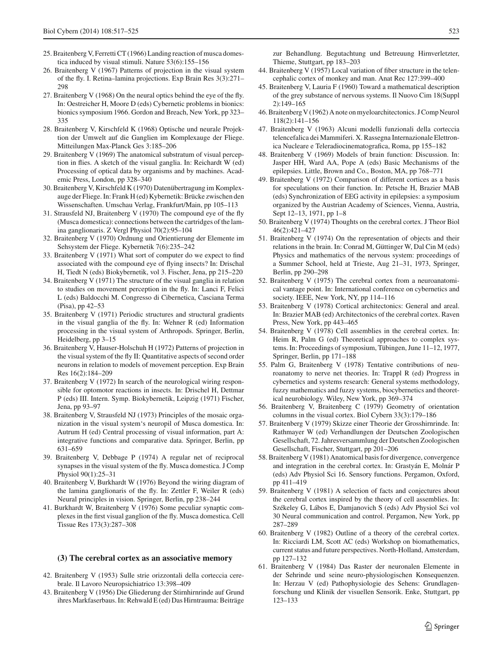- 25. Braitenberg V, Ferretti CT (1966) Landing reaction of musca domestica induced by visual stimuli. Nature 53(6):155–156
- 26. Braitenberg V (1967) Patterns of projection in the visual system of the fly. I. Retina–lamina projections. Exp Brain Res 3(3):271– 298
- 27. Braitenberg V (1968) On the neural optics behind the eye of the fly. In: Oestreicher H, Moore D (eds) Cybernetic problems in bionics: bionics symposium 1966. Gordon and Breach, New York, pp 323– 335
- 28. Braitenberg V, Kirschfeld K (1968) Optische und neurale Projektion der Umwelt auf die Ganglien im Komplexauge der Fliege. Mitteilungen Max-Planck Ges 3:185–206
- 29. Braitenberg V (1969) The anatomical substratum of visual perception in flies. A sketch of the visual ganglia. In: Reichardt W (ed) Processing of optical data by organisms and by machines. Academic Press, London, pp 328–340
- 30. Braitenberg V, Kirschfeld K (1970) Datenübertragung im Komplexauge der Fliege. In: Frank H (ed) Kybernetik: Brücke zwischen den Wissenschaften. Umschau Verlag, Frankfurt/Main, pp 105–113
- 31. Strausfeld NJ, Braitenberg V (1970) The compound eye of the fly (Musca domestica): connections between the cartridges of the lamina ganglionaris. Z Vergl Physiol 70(2):95–104
- 32. Braitenberg V (1970) Ordnung und Orientierung der Elemente im Sehsystem der Fliege. Kybernetik 7(6):235–242
- 33. Braitenberg V (1971) What sort of computer do we expect to find associated with the compound eye of flying insects? In: Drischal H, Tiedt N (eds) Biokybernetik, vol 3. Fischer, Jena, pp 215–220
- 34. Braitenberg V (1971) The structure of the visual ganglia in relation to studies on movement perception in the fly. In: Lanci F, Felici L (eds) Baldocchi M. Congresso di Cibernetica, Casciana Terma (Pisa), pp 42–53
- 35. Braitenberg V (1971) Periodic structures and structural gradients in the visual ganglia of the fly. In: Wehner R (ed) Information processing in the visual system of Arthropods. Springer, Berlin, Heidelberg, pp 3–15
- 36. Braitenberg V, Hauser-Holschuh H (1972) Patterns of projection in the visual system of the fly II: Quantitative aspects of second order neurons in relation to models of movement perception. Exp Brain Res 16(2):184–209
- 37. Braitenberg V (1972) In search of the neurological wiring responsible for optomotor reactions in insects. In: Drischel H, Dettmar P (eds) III. Intern. Symp. Biokybernetik, Leipzig (1971) Fischer, Jena, pp 93–97
- 38. Braitenberg V, Strausfeld NJ (1973) Principles of the mosaic organization in the visual system's neuropil of Musca domestica. In: Autrum H (ed) Central processing of visual information, part A: integrative functions and comparative data. Springer, Berlin, pp 631–659
- 39. Braitenberg V, Debbage P (1974) A regular net of reciprocal synapses in the visual system of the fly. Musca domestica. J Comp Physiol 90(1):25–31
- 40. Braitenberg V, Burkhardt W (1976) Beyond the wiring diagram of the lamina ganglionaris of the fly. In: Zettler F, Weiler R (eds) Neural principles in vision. Springer, Berlin, pp 238–244
- 41. Burkhardt W, Braitenberg V (1976) Some peculiar synaptic complexes in the first visual ganglion of the fly. Musca domestica. Cell Tissue Res 173(3):287–308

#### **(3) The cerebral cortex as an associative memory**

- 42. Braitenberg V (1953) Sulle strie orizzontali della corteccia cerebrale. Il Lavoro Neuropsichiatrico 13:398–409
- 43. Braitenberg V (1956) Die Gliederung der Stirnhirnrinde auf Grund ihres Markfaserbaus. In: Rehwald E (ed) Das Hirntrauma: Beiträge

zur Behandlung. Begutachtung und Betreuung Hirnverletzter, Thieme, Stuttgart, pp 183–203

- 44. Braitenberg V (1957) Local variation of fiber structure in the telencephalic cortex of monkey and man. Anat Rec 127:399–400
- 45. Braitenberg V, Lauria F (1960) Toward a mathematical description of the grey substance of nervous systems. Il Nuovo Cim 18(Suppl 2):149–165
- 46. Braitenberg V (1962) A note on myeloarchitectonics. J Comp Neurol 118(2):141–156
- 47. Braitenberg V (1963) Alcuni modelli funzionali della corteccia telencefalica dei Mammiferi. X. Rassegna Internazionale Elettronica Nucleare e Teleradiocinematografica, Roma, pp 155–182
- 48. Braitenberg V (1969) Models of brain function: Discussion. In: Jasper HH, Ward AA, Pope A (eds) Basic Mechanisms of the epilepsies. Little, Brown and Co., Boston, MA, pp 768–771
- 49. Braitenberg V (1972) Comparison of different cortices as a basis for speculations on their function. In: Petsche H, Brazier MAB (eds) Synchronization of EEG activity in epilepsies: a symposium organized by the Austrian Academy of Sciences, Vienna, Austria, Sept 12–13, 1971, pp 1–8
- 50. Braitenberg V (1974) Thoughts on the cerebral cortex. J Theor Biol 46(2):421–427
- 51. Braitenberg V (1974) On the representation of objects and their relations in the brain. In: Conrad M, Güttinger W, Dal Cin M (eds) Physics and mathematics of the nervous system: proceedings of a Summer School, held at Trieste, Aug 21–31, 1973, Springer, Berlin, pp 290–298
- 52. Braitenberg V (1975) The cerebral cortex from a neuroanatomical vantage point. In: International conference on cybernetics and society. IEEE, New York, NY, pp 114–116
- 53. Braitenberg V (1978) Cortical architectonics: General and areal. In: Brazier MAB (ed) Architectonics of the cerebral cortex. Raven Press, New York, pp 443–465
- 54. Braitenberg V (1978) Cell assemblies in the cerebral cortex. In: Heim R, Palm G (ed) Theoretical approaches to complex systems. In: Proceedings of symposium, Tübingen, June 11–12, 1977, Springer, Berlin, pp 171–188
- 55. Palm G, Braitenberg V (1978) Tentative contributions of neuroanatomy to nerve net theories. In: Trappl R (ed) Progress in cybernetics and systems research: General systems methodology, fuzzy mathematics and fuzzy systems, biocybernetics and theoretical neurobiology. Wiley, New York, pp 369–374
- 56. Braitenberg V, Braitenberg C (1979) Geometry of orientation columns in the visual cortex. Biol Cybern 33(3):179–186
- 57. Braitenberg V (1979) Skizze einer Theorie der Grosshirnrinde. In: Rathmayer W (ed) Verhandlungen der Deutschen Zoologischen Gesellschaft, 72. Jahresversammlung der Deutschen Zoologischen Gesellschaft, Fischer, Stuttgart, pp 201–206
- 58. Braitenberg V (1981) Anatomical basis for divergence, convergence and integration in the cerebral cortex. In: Grastyán E, Molnár P (eds) Adv Physiol Sci 16. Sensory functions. Pergamon, Oxford, pp 411–419
- 59. Braitenberg V (1981) A selection of facts and conjectures about the cerebral cortex inspired by the theory of cell assemblies. In: Székeley G, Lábos E, Damjanovich S (eds) Adv Physiol Sci vol 30 Neural communication and control. Pergamon, New York, pp 287–289
- 60. Braitenberg V (1982) Outline of a theory of the cerebral cortex. In: Ricciardi LM, Scott AC (eds) Workshop on biomathematics, current status and future perspectives. North-Holland, Amsterdam, pp 127–132
- 61. Braitenberg V (1984) Das Raster der neuronalen Elemente in der Sehrinde und seine neuro-physiologischen Konsequenzen. In: Herzau V (ed) Pathophysiologie des Sehens: Grundlagenforschung und Klinik der visuellen Sensorik. Enke, Stuttgart, pp 123–133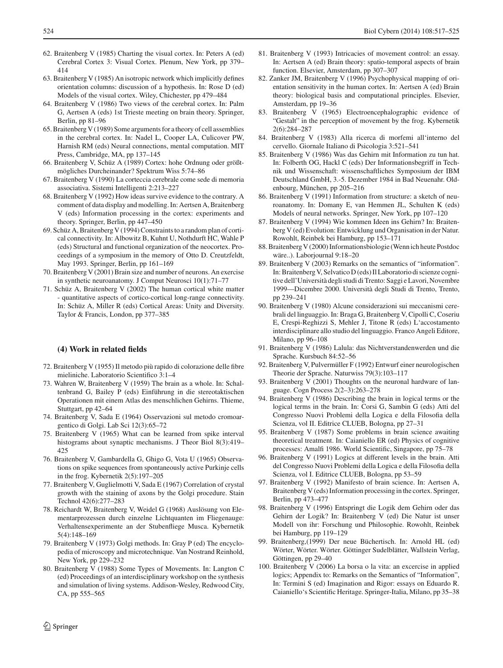- 62. Braitenberg V (1985) Charting the visual cortex. In: Peters A (ed) Cerebral Cortex 3: Visual Cortex. Plenum, New York, pp 379– 414
- 63. Braitenberg V (1985) An isotropic network which implicitly defines orientation columns: discussion of a hypothesis. In: Rose D (ed) Models of the visual cortex. Wiley, Chichester, pp 479–484
- 64. Braitenberg V (1986) Two views of the cerebral cortex. In: Palm G, Aertsen A (eds) 1st Trieste meeting on brain theory. Springer, Berlin, pp 81–96
- 65. Braitenberg V (1989) Some arguments for a theory of cell assemblies in the cerebral cortex. In: Nadel L, Cooper LA, Culicover PW, Harnish RM (eds) Neural connections, mental computation. MIT Press, Cambridge, MA, pp 137–145
- 66. Braitenberg V, Schüz A (1989) Cortex: hohe Ordnung oder größtmögliches Durcheinander? Spektrum Wiss 5:74–86
- 67. Braitenberg V (1990) La corteccia cerebrale come sede di memoria associativa. Sistemi Intelligenti 2:213–227
- 68. Braitenberg V (1992) How ideas survive evidence to the contrary. A comment of data display and modelling. In: Aertsen A, Braitenberg V (eds) Information processing in the cortex: experiments and theory. Springer, Berlin, pp 447–450
- 69. Schüz A, Braitenberg V (1994) Constraints to a random plan of cortical connectivity. In: Albowitz B, Kuhnt U, Nothdurft HC, Wahle P (eds) Structural and functional organization of the neocortex. Proceedings of a symposium in the memory of Otto D. Creutzfeldt, May 1993. Springer, Berlin, pp 161–169
- 70. Braitenberg V (2001) Brain size and number of neurons. An exercise in synthetic neuroanatomy. J Comput Neurosci 10(1):71–77
- 71. Schüz A, Braitenberg V (2002) The human cortical white matter - quantitative aspects of cortico-cortical long-range connectivity. In: Schüz A, Miller R (eds) Cortical Areas: Unity and Diversity. Taylor & Francis, London, pp 377–385

### **(4) Work in related fields**

- 72. Braitenberg V (1955) Il metodo più rapido di colorazione delle fibre mieliniche. Laboratorio Scientifico 3:1–4
- 73. Wahren W, Braitenberg V (1959) The brain as a whole. In: Schaltenbrand G, Bailey P (eds) Einführung in die stereotaktischen Operationen mit einem Atlas des menschlichen Gehirns. Thieme, Stuttgart, pp 42–64
- 74. Braitenberg V, Sada E (1964) Osservazioni sul metodo cromoargentico di Golgi. Lab Sci 12(3):65–72
- 75. Braitenberg V (1965) What can be learned from spike interval histograms about synaptic mechanisms. J Theor Biol 8(3):419– 425
- 76. Braitenberg V, Gambardella G, Ghigo G, Vota U (1965) Observations on spike sequences from spontaneously active Purkinje cells in the frog. Kybernetik 2(5):197–205
- 77. Braitenberg V, Guglielmotti V, Sada E (1967) Correlation of crystal growth with the staining of axons by the Golgi procedure. Stain Technol 42(6):277–283
- 78. Reichardt W, Braitenberg V, Weidel G (1968) Auslösung von Elementarprozessen durch einzelne Lichtquanten im Fliegenauge: Verhaltensexperimente an der Stubenfliege Musca. Kybernetik 5(4):148–169
- 79. Braitenberg V (1973) Golgi methods. In: Gray P (ed) The encyclopedia of microscopy and microtechnique. Van Nostrand Reinhold, New York, pp 229–232
- 80. Braitenberg V (1988) Some Types of Movements. In: Langton C (ed) Proceedings of an interdisciplinary workshop on the synthesis and simulation of living systems. Addison-Wesley, Redwood City, CA, pp 555–565
- 81. Braitenberg V (1993) Intricacies of movement control: an essay. In: Aertsen A (ed) Brain theory: spatio-temporal aspects of brain function. Elsevier, Amsterdam, pp 307–307
- 82. Zanker JM, Braitenberg V (1996) Psychophysical mapping of orientation sensitivity in the human cortex. In: Aertsen A (ed) Brain theory: biological basis and computational principles. Elsevier, Amsterdam, pp 19–36
- 83. Braitenberg V (1965) Electroencephalographic evidence of "Gestalt" in the perception of movement by the frog. Kybernetik 2(6):284–287
- 84. Braitenberg V (1983) Alla ricerca di morfemi all'interno del cervello. Giornale Italiano di Psicologia 3:521–541
- 85. Braitenberg V (1986) Was das Gehirn mit Information zu tun hat. In: Folberth OG, Hackl C (eds) Der Informationsbegriff in Technik und Wissenschaft: wissenschaftliches Symposium der IBM Deutschland GmbH, 3.-5. Dezember 1984 in Bad Neuenahr. Oldenbourg, München, pp 205–216
- 86. Braitenberg V (1991) Information from structure: a sketch of neuroanatomy. In: Domany E, van Hemmen JL, Schulten K (eds) Models of neural networks. Springer, New York, pp 107–120
- 87. Braitenberg V (1994) Wie kommen Ideen ins Gehirn? In: Braitenberg V (ed) Evolution: Entwicklung und Organisation in der Natur. Rowohlt, Reinbek bei Hamburg, pp 153–171
- 88. Braitenberg V (2000) Informationsbiologie (Wenn ich heute Postdoc wäre..). Laborjournal 9:18–20
- 89. Braitenberg V (2003) Remarks on the semantics of "information". In: Braitenberg V, Selvatico D (eds) Il Laboratorio di scienze cognitive dell'Università degli studi di Trento: Saggi e Lavori, Novembre 1999—Dicembre 2000. Università degli Studi di Trento, Trento, pp 239–241
- 90. Braitenberg V (1980) Alcune considerazioni sui meccanismi cerebrali del linguaggio. In: Braga G, Braitenberg V, Cipolli C, Coseriu E, Crespi-Reghizzi S, Mehler J, Titone R (eds) L'accostamento interdisciplinare allo studio del linguaggio. Franco Angeli Editore, Milano, pp 96–108
- 91. Braitenberg V (1986) Lalula: das Nichtverstandenwerden und die Sprache. Kursbuch 84:52–56
- 92. Braitenberg V, Pulvermüller F (1992) Entwurf einer neurologischen Theorie der Sprache. Naturwiss 79(3):103–117
- 93. Braitenberg V (2001) Thoughts on the neuronal hardware of language. Cogn Process 2(2–3):263–278
- 94. Braitenberg V (1986) Describing the brain in logical terms or the logical terms in the brain. In: Corsi G, Sambin G (eds) Atti del Congresso Nuovi Problemi della Logica e della Filosofia della Scienza, vol II. Editrice CLUEB, Bologna, pp 27–31
- 95. Braitenberg V (1987) Some problems in brain science awaiting theoretical treatment. In: Caianiello ER (ed) Physics of cognitive processes: Amalfi 1986. World Scientific, Singapore, pp 75–78
- 96. Braitenberg V (1991) Logics at different levels in the brain. Atti del Congresso Nuovi Problemi della Logica e della Filosofia della Scienza, vol I. Editrice CLUEB, Bologna, pp 53–59
- 97. Braitenberg V (1992) Manifesto of brain science. In: Aertsen A, Braitenberg V (eds) Information processing in the cortex. Springer, Berlin, pp 473–477
- 98. Braitenberg V (1996) Entspringt die Logik dem Gehirn oder das Gehirn der Logik? In: Braitenberg V (ed) Die Natur ist unser Modell von ihr: Forschung und Philosophie. Rowohlt, Reinbek bei Hamburg, pp 119–129
- 99. Braitenberg,(1999) Der neue Büchertisch. In: Arnold HL (ed) Wörter, Wörter. Wörter. Göttinger Sudelblätter, Wallstein Verlag, Göttingen, pp 29–40
- 100. Braitenberg V (2006) La borsa o la vita: an excercise in applied logics; Appendix to: Remarks on the Semantics of "Information", In: Termini S (ed) Imagination and Rigor: essays on Eduardo R. Caianiello's Scientific Heritage. Springer-Italia, Milano, pp 35–38